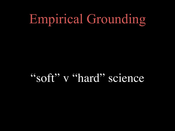## Empirical Grounding

"soft" v "hard" science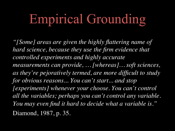## Empirical Grounding

*"[Some] areas are given the highly flattering name of hard science, because they use the firm evidence that controlled experiments and highly accurate measurements can provide, … [whereas]… soft sciences, as they're pejoratively termed, are more difficult to study for obvious reasons... You can't start... and stop [experiments] whenever your choose. You can't control all the variables; perhaps you can't control any variable. You may even find it hard to decide what a variable is."*  Diamond, 1987, p. 35.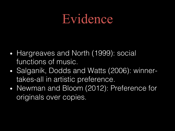### Evidence

- Hargreaves and North (1999): social functions of music.
- Salganik, Dodds and Watts (2006): winnertakes-all in artistic preference.
- Newman and Bloom (2012): Preference for originals over copies.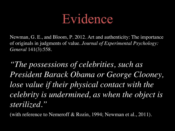

Newman, G. E., and Bloom, P. 2012. Art and authenticity: The importance of originals in judgments of value. *Journal of Experimental Psychology: General* 141(3):558.

*"The possessions of celebrities, such as President Barack Obama or George Clooney,*  lose value if their physical contact with the *celebrity is undermined, as when the object is sterilized."*

(with reference to Nemeroff & Rozin, 1994; Newman et al., 2011).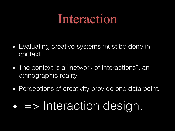- Evaluating creative systems must be done in context.
- The context is a "network of interactions", an ethnographic reality.
- Perceptions of creativity provide one data point.

### • => Interaction design.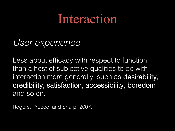#### *User experience*

Less about efficacy with respect to function than a host of subjective qualities to do with interaction more generally, such as desirability, credibility, satisfaction, accessibility, boredom and so on.

Rogers, Preece, and Sharp, 2007.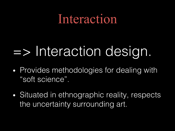# => Interaction design.

- Provides methodologies for dealing with "soft science".
- Situated in ethnographic reality, respects the uncertainty surrounding art.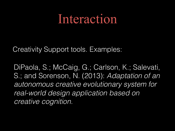Creativity Support tools. Examples:

DiPaola, S.; McCaig, G.; Carlson, K.; Salevati, S.; and Sorenson, N. (2013): *Adaptation of an autonomous creative evolutionary system for real-world design application based on creative cognition.*